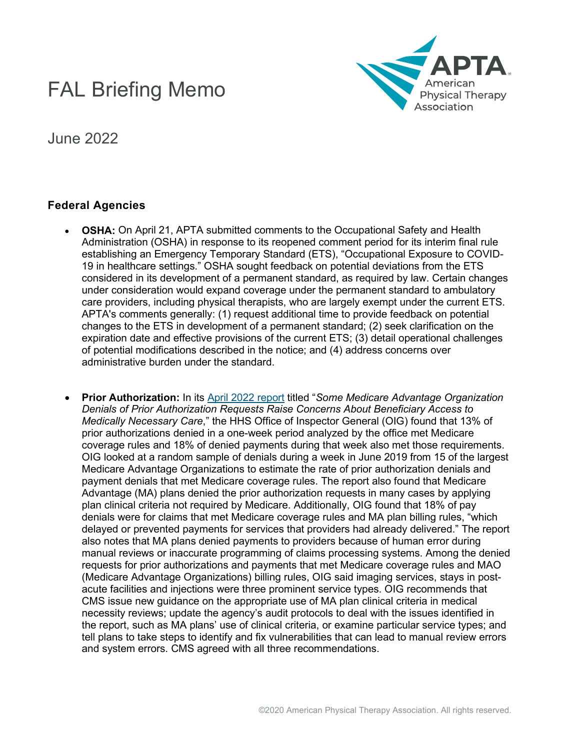## FAL Briefing Memo



June 2022

## **Federal Agencies**

- **OSHA:** On April 21, APTA submitted comments to the Occupational Safety and Health Administration (OSHA) in response to its reopened comment period for its interim final rule establishing an Emergency Temporary Standard (ETS), "Occupational Exposure to COVID-19 in healthcare settings." OSHA sought feedback on potential deviations from the ETS considered in its development of a permanent standard, as required by law. Certain changes under consideration would expand coverage under the permanent standard to ambulatory care providers, including physical therapists, who are largely exempt under the current ETS. APTA's comments generally: (1) request additional time to provide feedback on potential changes to the ETS in development of a permanent standard; (2) seek clarification on the expiration date and effective provisions of the current ETS; (3) detail operational challenges of potential modifications described in the notice; and (4) address concerns over administrative burden under the standard.
- **Prior Authorization:** In its [April 2022 report](https://oig.hhs.gov/oei/reports/OEI-09-18-00260.pdf) titled "*Some Medicare Advantage Organization Denials of Prior Authorization Requests Raise Concerns About Beneficiary Access to Medically Necessary Care*," the HHS Office of Inspector General (OIG) found that 13% of prior authorizations denied in a one-week period analyzed by the office met Medicare coverage rules and 18% of denied payments during that week also met those requirements. OIG looked at a random sample of denials during a week in June 2019 from 15 of the largest Medicare Advantage Organizations to estimate the rate of prior authorization denials and payment denials that met Medicare coverage rules. The report also found that Medicare Advantage (MA) plans denied the prior authorization requests in many cases by applying plan clinical criteria not required by Medicare. Additionally, OIG found that 18% of pay denials were for claims that met Medicare coverage rules and MA plan billing rules, "which delayed or prevented payments for services that providers had already delivered." The report also notes that MA plans denied payments to providers because of human error during manual reviews or inaccurate programming of claims processing systems. Among the denied requests for prior authorizations and payments that met Medicare coverage rules and MAO (Medicare Advantage Organizations) billing rules, OIG said imaging services, stays in postacute facilities and injections were three prominent service types. OIG recommends that CMS issue new guidance on the appropriate use of MA plan clinical criteria in medical necessity reviews; update the agency's audit protocols to deal with the issues identified in the report, such as MA plans' use of clinical criteria, or examine particular service types; and tell plans to take steps to identify and fix vulnerabilities that can lead to manual review errors and system errors. CMS agreed with all three recommendations.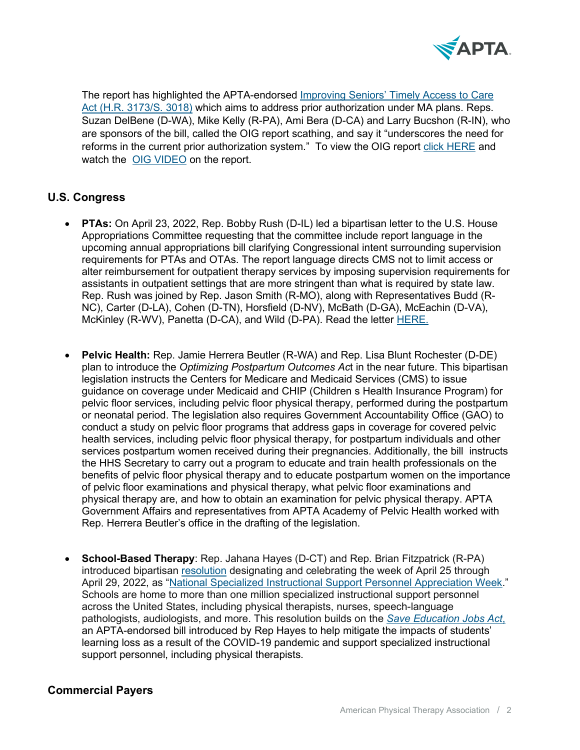

The report has highlighted the APTA-endorsed [Improving Seniors' Timely Access to Care](https://www.apta.org/advocacy/issues/administrative-burden/position-paper-improving-seniors-timely-access-to-care)  Act (H.R. 3173/S. 3018) which aims to address prior authorization under MA plans. Reps. Suzan DelBene (D-WA), Mike Kelly (R-PA), Ami Bera (D-CA) and Larry Bucshon (R-IN), who are sponsors of the bill, called the OIG report scathing, and say it "underscores the need for reforms in the current prior authorization system." To view the OIG report [click HERE](https://oig.hhs.gov/oei/reports/OEI-09-18-00260.pdf) and watch the [OIG VIDEO](https://protect-us.mimecast.com/s/G6l_C73Y82ImQ00AiWRuOe?domain=youtube.com) on the report.

## **U.S. Congress**

- **PTAs:** On April 23, 2022, Rep. Bobby Rush (D-IL) led a bipartisan letter to the U.S. House Appropriations Committee requesting that the committee include report language in the upcoming annual appropriations bill clarifying Congressional intent surrounding supervision requirements for PTAs and OTAs. The report language directs CMS not to limit access or alter reimbursement for outpatient therapy services by imposing supervision requirements for assistants in outpatient settings that are more stringent than what is required by state law. Rep. Rush was joined by Rep. Jason Smith (R-MO), along with Representatives Budd (R-NC), Carter (D-LA), Cohen (D-TN), Horsfield (D-NV), McBath (D-GA), McEachin (D-VA), McKinley (R-WV), Panetta (D-CA), and Wild (D-PA). Read the letter [HERE.](https://www.apta.org/siteassets/pdfs/2022/fy2023-supervisory-requirements-letter-4-27-22.pdf)
- **Pelvic Health:** Rep. Jamie Herrera Beutler (R-WA) and Rep. Lisa Blunt Rochester (D-DE) plan to introduce the *Optimizing Postpartum Outcomes Ac*t in the near future. This bipartisan legislation instructs the Centers for Medicare and Medicaid Services (CMS) to issue guidance on coverage under Medicaid and CHIP (Children s Health Insurance Program) for pelvic floor services, including pelvic floor physical therapy, performed during the postpartum or neonatal period. The legislation also requires Government Accountability Office (GAO) to conduct a study on pelvic floor programs that address gaps in coverage for covered pelvic health services, including pelvic floor physical therapy, for postpartum individuals and other services postpartum women received during their pregnancies. Additionally, the bill instructs the HHS Secretary to carry out a program to educate and train health professionals on the benefits of pelvic floor physical therapy and to educate postpartum women on the importance of pelvic floor examinations and physical therapy, what pelvic floor examinations and physical therapy are, and how to obtain an examination for pelvic physical therapy. APTA Government Affairs and representatives from APTA Academy of Pelvic Health worked with Rep. Herrera Beutler's office in the drafting of the legislation.
- **School-Based Therapy**: Rep. Jahana Hayes (D-CT) and Rep. Brian Fitzpatrick (R-PA) introduced bipartisan [resolution](https://www.congress.gov/bill/117th-congress/house-resolution/1063/text?q=%7B%22search%22%3A%5B%22H+res+1063%22%2C%22H%22%2C%22res%22%2C%221063%22%5D%7D&r=1&s=1) designating and celebrating the week of April 25 through April 29, 2022, as ["National Specialized Instructional Support Personnel Appreciation Week.](https://hayes.house.gov/media/press-releases/hayes-leads-legislation-celebrating-national-specialized-instructional-support)" Schools are home to more than one million specialized instructional support personnel across the United States, including physical therapists, nurses, speech-language pathologists, audiologists, and more. This resolution builds on the *[Save Education Jobs Act](https://hayes.house.gov/media/press-releases/hayes-reintroduces-save-education-jobs-act-protect-nearly-4-million-education-0)*, an APTA-endorsed bill introduced by Rep Hayes to help mitigate the impacts of students' learning loss as a result of the COVID-19 pandemic and support specialized instructional support personnel, including physical therapists.

## **Commercial Payers**